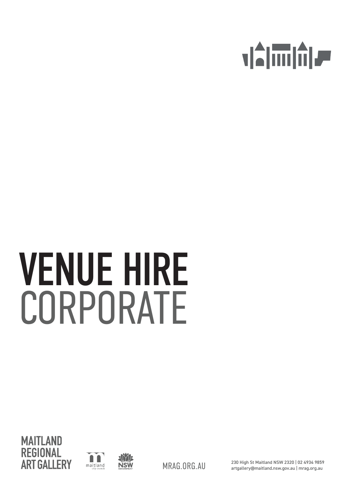

# VENUE HIRE CORPORATE





230 High St Maitland NSW 2320 | 02 4934 9859 MRAG.ORG.AU artgallery@maitland.nsw.gov.au | mrag.org.au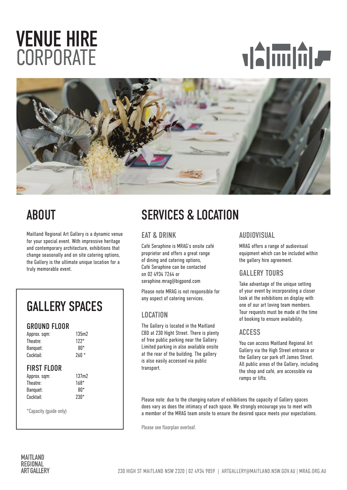## VENUE HIRE **CORPORATE**





Maitland Regional Art Gallery is a dynamic venue for your special event. With impressive heritage and contemporary architecture, exhibitions that change seasonally and on site catering options, the Gallery is the ultimate unique location for a truly memorable event.

## GALLERY SPACES

#### GROUND FLOOR

| Approx. sqm: | 135m2  |
|--------------|--------|
| Theatre:     | $122*$ |
| Banguet:     | 8N*    |
| Cocktail:    | $260*$ |
|              |        |

#### **FIRST FLOOR**

| Approx. sqm: | 137m2  |
|--------------|--------|
| Theatre:     | $168*$ |
| Banguet:     | 8N*    |
| Cocktail:    | $230*$ |
|              |        |

\*Capacity (guide only)

## ABOUT SERVICES & LOCATION

#### EAT & DRINK

Café Seraphine is MRAG's onsite café proprietor and offers a great range of dining and catering options, Café Seraphine can be contacted on 02 4934 7264 or seraphine.mrag@bigpond.com

Please note MRAG is not responsible for any aspect of catering services.

### LOCATION

The Gallery is located in the Maitland CBD at 230 Hight Street. There is plenty of free public parking near the Gallery. Limited parking in also available onsite at the rear of the building. The gallery is also easily accessed via public transport.

#### AUDIOVISUAL

MRAG offers a range of audiovisual equipment which can be included within the gallery hire agreement.

#### GALLERY TOURS

Take advantage of the unique setting of your event by incorporating a closer look at the exhibitions on display with one of our art loving team members. Tour requests must be made at the time of booking to ensure availability.

#### ACCESS

You can access Maitland Regional Art Gallery via the High Street entrance or the Gallery car park off James Street. All public areas of the Gallery, including the shop and café, are accessible via ramps or lifts.

Please note: due to the changing nature of exhibitions the capacity of Gallery spaces does vary as does the intimacy of each space. We strongly encourage you to meet with a member of the MRAG team onsite to ensure the desired space meets your expectations.

Please see floorplan overleaf.